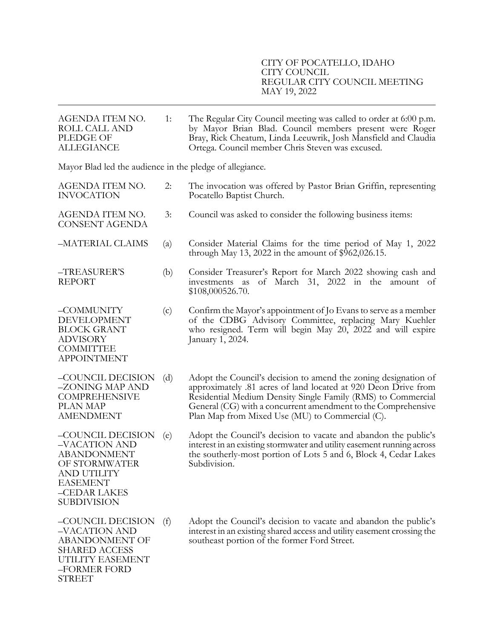| AGENDA ITEM NO.<br><b>ROLL CALL AND</b><br><b>PLEDGE OF</b><br><b>ALLEGIANCE</b>                                                                  | 1:                | The Regular City Council meeting was called to order at 6:00 p.m.<br>by Mayor Brian Blad. Council members present were Roger<br>Bray, Rick Cheatum, Linda Leeuwrik, Josh Mansfield and Claudia<br>Ortega. Council member Chris Steven was excused.                                                                    |  |  |
|---------------------------------------------------------------------------------------------------------------------------------------------------|-------------------|-----------------------------------------------------------------------------------------------------------------------------------------------------------------------------------------------------------------------------------------------------------------------------------------------------------------------|--|--|
| Mayor Blad led the audience in the pledge of allegiance.                                                                                          |                   |                                                                                                                                                                                                                                                                                                                       |  |  |
| AGENDA ITEM NO.<br><b>INVOCATION</b>                                                                                                              | 2:                | The invocation was offered by Pastor Brian Griffin, representing<br>Pocatello Baptist Church.                                                                                                                                                                                                                         |  |  |
| AGENDA ITEM NO.<br><b>CONSENT AGENDA</b>                                                                                                          | 3:                | Council was asked to consider the following business items:                                                                                                                                                                                                                                                           |  |  |
| -MATERIAL CLAIMS                                                                                                                                  | $\left( a\right)$ | Consider Material Claims for the time period of May 1, 2022<br>through May 13, 2022 in the amount of $$962,026.15$ .                                                                                                                                                                                                  |  |  |
| -TREASURER'S<br><b>REPORT</b>                                                                                                                     | (b)               | Consider Treasurer's Report for March 2022 showing cash and<br>of March 31, 2022 in the amount of<br>investments as<br>\$108,000526.70.                                                                                                                                                                               |  |  |
| -COMMUNITY<br><b>DEVELOPMENT</b><br><b>BLOCK GRANT</b><br><b>ADVISORY</b><br><b>COMMITTEE</b><br><b>APPOINTMENT</b>                               | (c)               | Confirm the Mayor's appointment of Jo Evans to serve as a member<br>of the CDBG Advisory Committee, replacing Mary Kuehler<br>who resigned. Term will begin May 20, 2022 and will expire<br>January 1, 2024.                                                                                                          |  |  |
| -COUNCIL DECISION<br>–ZONING MAP AND<br><b>COMPREHENSIVE</b><br>PLAN MAP<br><b>AMENDMENT</b>                                                      | (d)               | Adopt the Council's decision to amend the zoning designation of<br>approximately .81 acres of land located at 920 Deon Drive from<br>Residential Medium Density Single Family (RMS) to Commercial<br>General (CG) with a concurrent amendment to the Comprehensive<br>Plan Map from Mixed Use (MU) to Commercial (C). |  |  |
| –COUNCIL DECISION<br>-VACATION AND<br><b>ABANDONMENT</b><br>OF STORMWATER<br>AND UTILITY<br><b>EASEMENT</b><br>-CEDAR LAKES<br><b>SUBDIVISION</b> | (e)               | Adopt the Council's decision to vacate and abandon the public's<br>interest in an existing stormwater and utility easement running across<br>the southerly-most portion of Lots 5 and 6, Block 4, Cedar Lakes<br>Subdivision.                                                                                         |  |  |
| -COUNCIL DECISION<br>-VACATION AND<br><b>ABANDONMENT OF</b><br><b>SHARED ACCESS</b><br>UTILITY EASEMENT<br>-FORMER FORD<br><b>STREET</b>          | (f)               | Adopt the Council's decision to vacate and abandon the public's<br>interest in an existing shared access and utility easement crossing the<br>southeast portion of the former Ford Street.                                                                                                                            |  |  |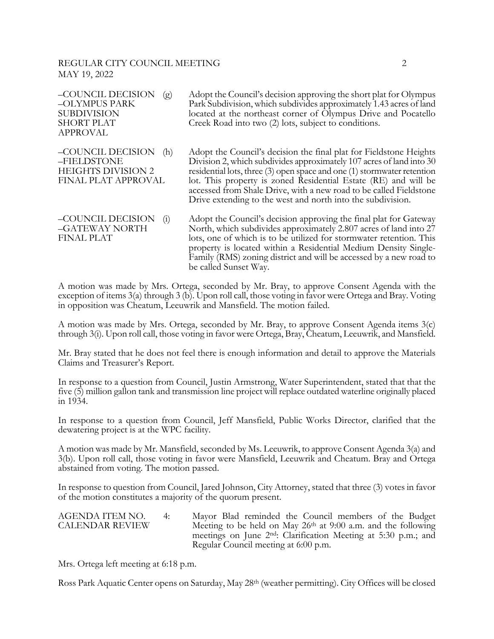| -COUNCIL DECISION<br>(g)<br>-OLYMPUS PARK<br><b>SUBDIVISION</b><br><b>SHORT PLAT</b><br><b>APPROVAL</b> | Adopt the Council's decision approving the short plat for Olympus<br>Park Subdivision, which subdivides approximately 1.43 acres of land<br>located at the northeast corner of Olympus Drive and Pocatello<br>Creek Road into two (2) lots, subject to conditions.                                                                                                                                                            |
|---------------------------------------------------------------------------------------------------------|-------------------------------------------------------------------------------------------------------------------------------------------------------------------------------------------------------------------------------------------------------------------------------------------------------------------------------------------------------------------------------------------------------------------------------|
| -COUNCIL DECISION<br>(h)<br>-FIELDSTONE<br><b>HEIGHTS DIVISION 2</b><br>FINAL PLAT APPROVAL             | Adopt the Council's decision the final plat for Fieldstone Heights<br>Division 2, which subdivides approximately 107 acres of land into 30<br>residential lots, three (3) open space and one (1) stormwater retention<br>lot. This property is zoned Residential Estate (RE) and will be<br>accessed from Shale Drive, with a new road to be called Fieldstone<br>Drive extending to the west and north into the subdivision. |
| -COUNCIL DECISION<br>$\left( 1 \right)$<br>-GATEWAY NORTH<br><b>FINAL PLAT</b>                          | Adopt the Council's decision approving the final plat for Gateway<br>North, which subdivides approximately 2.807 acres of land into 27<br>lots, one of which is to be utilized for stormwater retention. This<br>property is located within a Residential Medium Density Single-<br>Family (RMS) zoning district and will be accessed by a new road to<br>be called Sunset Way.                                               |

A motion was made by Mrs. Ortega, seconded by Mr. Bray, to approve Consent Agenda with the exception of items 3(a) through 3 (b). Upon roll call, those voting in favor were Ortega and Bray. Voting in opposition was Cheatum, Leeuwrik and Mansfield. The motion failed.

A motion was made by Mrs. Ortega, seconded by Mr. Bray, to approve Consent Agenda items 3(c) through 3(i). Upon roll call, those voting in favor were Ortega, Bray, Cheatum, Leeuwrik, and Mansfield.

Mr. Bray stated that he does not feel there is enough information and detail to approve the Materials Claims and Treasurer's Report.

In response to a question from Council, Justin Armstrong, Water Superintendent, stated that that the five (5) million gallon tank and transmission line project will replace outdated waterline originally placed in 1934.

In response to a question from Council, Jeff Mansfield, Public Works Director, clarified that the dewatering project is at the WPC facility.

A motion was made by Mr. Mansfield, seconded by Ms. Leeuwrik, to approve Consent Agenda 3(a) and 3(b). Upon roll call, those voting in favor were Mansfield, Leeuwrik and Cheatum. Bray and Ortega abstained from voting. The motion passed.

In response to question from Council, Jared Johnson, City Attorney, stated that three (3) votes in favor of the motion constitutes a majority of the quorum present.

| AGENDA ITEM NO.        | 4: | Mayor Blad reminded the Council members of the Budget                      |
|------------------------|----|----------------------------------------------------------------------------|
| <b>CALENDAR REVIEW</b> |    | Meeting to be held on May $26th$ at 9:00 a.m. and the following            |
|                        |    | meetings on June 2 <sup>nd</sup> : Clarification Meeting at 5:30 p.m.; and |
|                        |    | Regular Council meeting at 6:00 p.m.                                       |

Mrs. Ortega left meeting at 6:18 p.m.

Ross Park Aquatic Center opens on Saturday, May 28<sup>th</sup> (weather permitting). City Offices will be closed